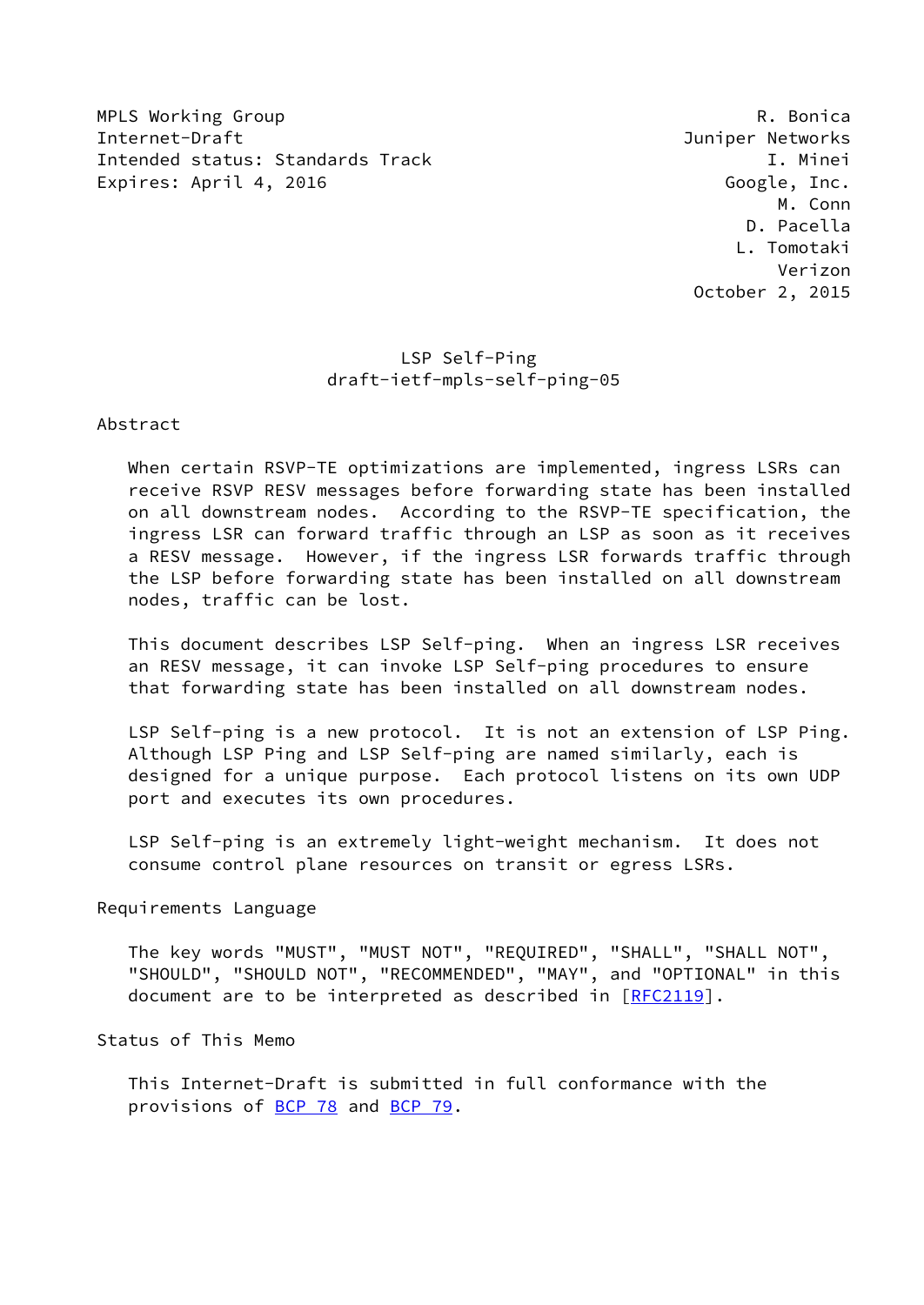MPLS Working Group **Research Control** Control Control Control Control Control Control Control Control Control Con Internet-Draft Juniper Networks Intended status: Standards Track I. Minei Expires: April 4, 2016 Google, Inc.

 M. Conn D. Pacella L. Tomotaki Verizon October 2, 2015

# LSP Self-Ping draft-ietf-mpls-self-ping-05

Abstract

 When certain RSVP-TE optimizations are implemented, ingress LSRs can receive RSVP RESV messages before forwarding state has been installed on all downstream nodes. According to the RSVP-TE specification, the ingress LSR can forward traffic through an LSP as soon as it receives a RESV message. However, if the ingress LSR forwards traffic through the LSP before forwarding state has been installed on all downstream nodes, traffic can be lost.

 This document describes LSP Self-ping. When an ingress LSR receives an RESV message, it can invoke LSP Self-ping procedures to ensure that forwarding state has been installed on all downstream nodes.

 LSP Self-ping is a new protocol. It is not an extension of LSP Ping. Although LSP Ping and LSP Self-ping are named similarly, each is designed for a unique purpose. Each protocol listens on its own UDP port and executes its own procedures.

 LSP Self-ping is an extremely light-weight mechanism. It does not consume control plane resources on transit or egress LSRs.

Requirements Language

 The key words "MUST", "MUST NOT", "REQUIRED", "SHALL", "SHALL NOT", "SHOULD", "SHOULD NOT", "RECOMMENDED", "MAY", and "OPTIONAL" in this document are to be interpreted as described in [\[RFC2119](https://datatracker.ietf.org/doc/pdf/rfc2119)].

Status of This Memo

 This Internet-Draft is submitted in full conformance with the provisions of [BCP 78](https://datatracker.ietf.org/doc/pdf/bcp78) and [BCP 79](https://datatracker.ietf.org/doc/pdf/bcp79).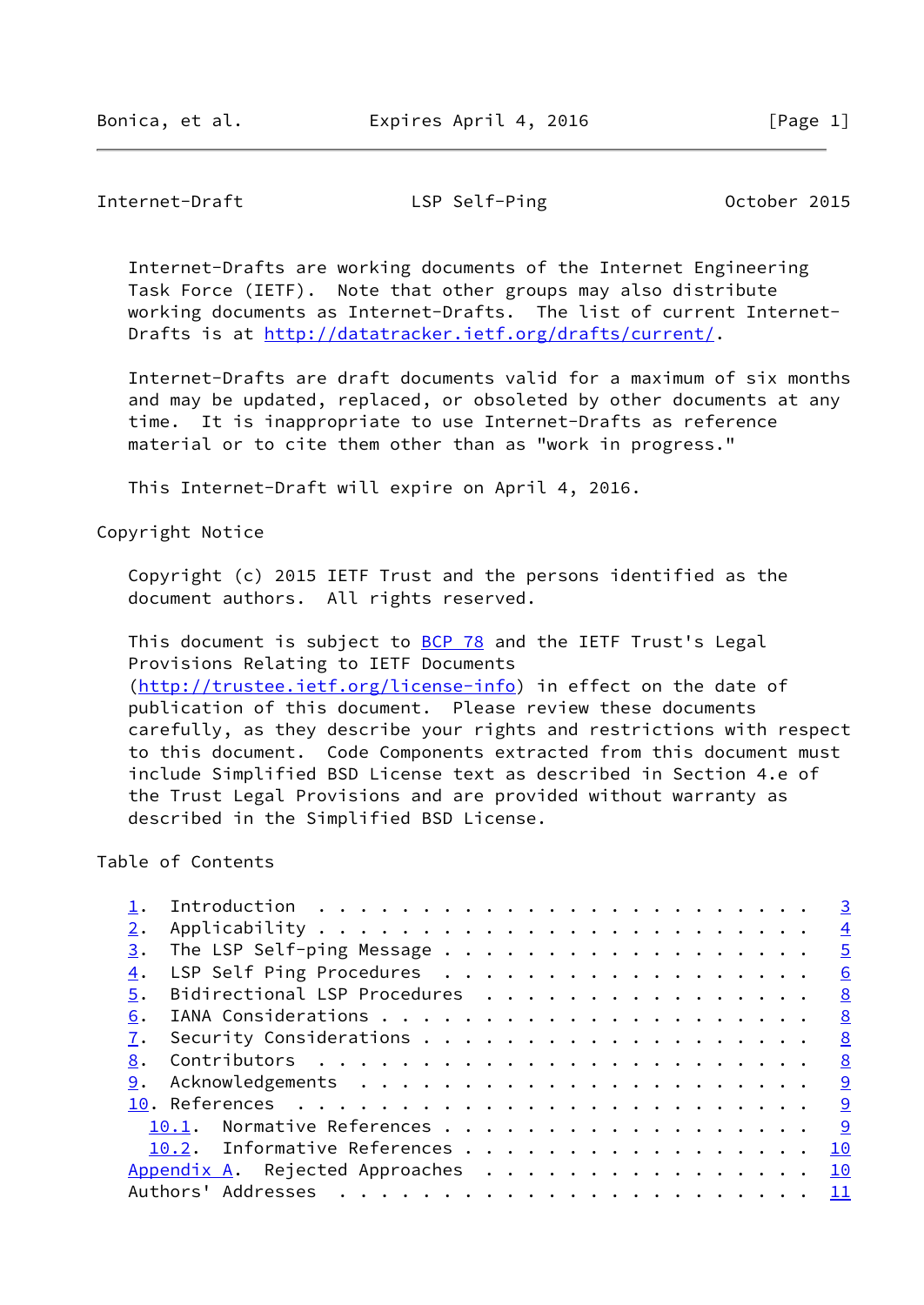## Internet-Draft LSP Self-Ping Cotober 2015

 Internet-Drafts are working documents of the Internet Engineering Task Force (IETF). Note that other groups may also distribute working documents as Internet-Drafts. The list of current Internet- Drafts is at<http://datatracker.ietf.org/drafts/current/>.

 Internet-Drafts are draft documents valid for a maximum of six months and may be updated, replaced, or obsoleted by other documents at any time. It is inappropriate to use Internet-Drafts as reference material or to cite them other than as "work in progress."

This Internet-Draft will expire on April 4, 2016.

Copyright Notice

 Copyright (c) 2015 IETF Trust and the persons identified as the document authors. All rights reserved.

This document is subject to **[BCP 78](https://datatracker.ietf.org/doc/pdf/bcp78)** and the IETF Trust's Legal Provisions Relating to IETF Documents [\(http://trustee.ietf.org/license-info](http://trustee.ietf.org/license-info)) in effect on the date of publication of this document. Please review these documents carefully, as they describe your rights and restrictions with respect to this document. Code Components extracted from this document must include Simplified BSD License text as described in Section 4.e of the Trust Legal Provisions and are provided without warranty as described in the Simplified BSD License.

# Table of Contents

|    |                                 | $\overline{3}$            |
|----|---------------------------------|---------------------------|
|    |                                 | $\overline{4}$            |
| 3. |                                 | $\frac{5}{2}$             |
| 4. | LSP Self Ping Procedures        | 6                         |
| 5. | Bidirectional LSP Procedures    | $\frac{8}{2}$             |
| 6. |                                 | $\underline{8}$           |
|    |                                 | 8                         |
| 8. |                                 | $\frac{8}{2}$             |
| 9. |                                 | 9                         |
|    |                                 |                           |
|    | 10.1. Normative References      | 9                         |
|    | 10.2. Informative References    | <b>10</b>                 |
|    | Appendix A. Rejected Approaches | 10                        |
|    |                                 | $\mathbf{\underline{11}}$ |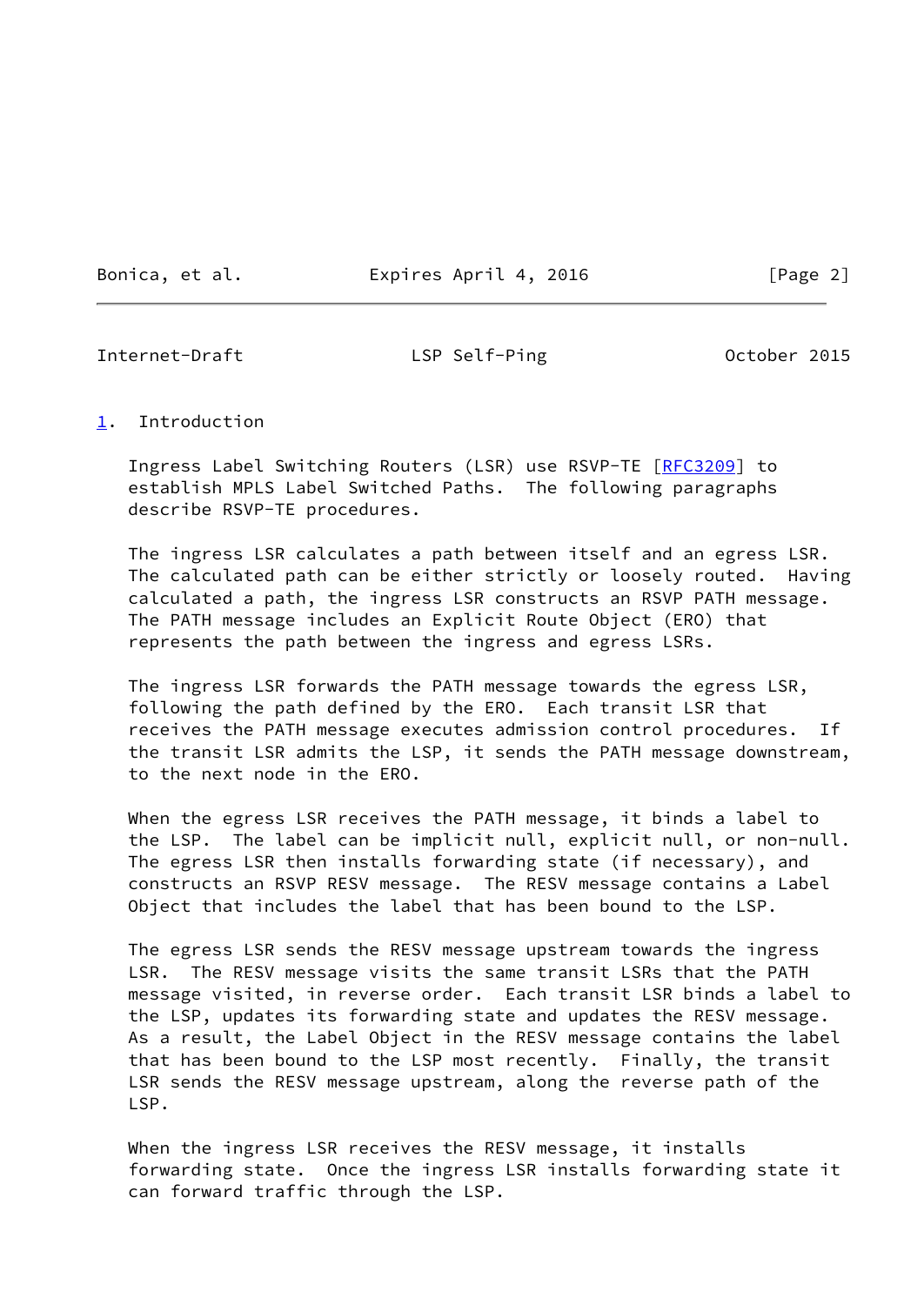Bonica, et al. **Expires April 4, 2016** [Page 2]

<span id="page-2-1"></span>Internet-Draft LSP Self-Ping Cotober 2015

#### <span id="page-2-0"></span>[1](#page-2-0). Introduction

 Ingress Label Switching Routers (LSR) use RSVP-TE [[RFC3209](https://datatracker.ietf.org/doc/pdf/rfc3209)] to establish MPLS Label Switched Paths. The following paragraphs describe RSVP-TE procedures.

 The ingress LSR calculates a path between itself and an egress LSR. The calculated path can be either strictly or loosely routed. Having calculated a path, the ingress LSR constructs an RSVP PATH message. The PATH message includes an Explicit Route Object (ERO) that represents the path between the ingress and egress LSRs.

 The ingress LSR forwards the PATH message towards the egress LSR, following the path defined by the ERO. Each transit LSR that receives the PATH message executes admission control procedures. If the transit LSR admits the LSP, it sends the PATH message downstream, to the next node in the ERO.

 When the egress LSR receives the PATH message, it binds a label to the LSP. The label can be implicit null, explicit null, or non-null. The egress LSR then installs forwarding state (if necessary), and constructs an RSVP RESV message. The RESV message contains a Label Object that includes the label that has been bound to the LSP.

 The egress LSR sends the RESV message upstream towards the ingress LSR. The RESV message visits the same transit LSRs that the PATH message visited, in reverse order. Each transit LSR binds a label to the LSP, updates its forwarding state and updates the RESV message. As a result, the Label Object in the RESV message contains the label that has been bound to the LSP most recently. Finally, the transit LSR sends the RESV message upstream, along the reverse path of the LSP.

 When the ingress LSR receives the RESV message, it installs forwarding state. Once the ingress LSR installs forwarding state it can forward traffic through the LSP.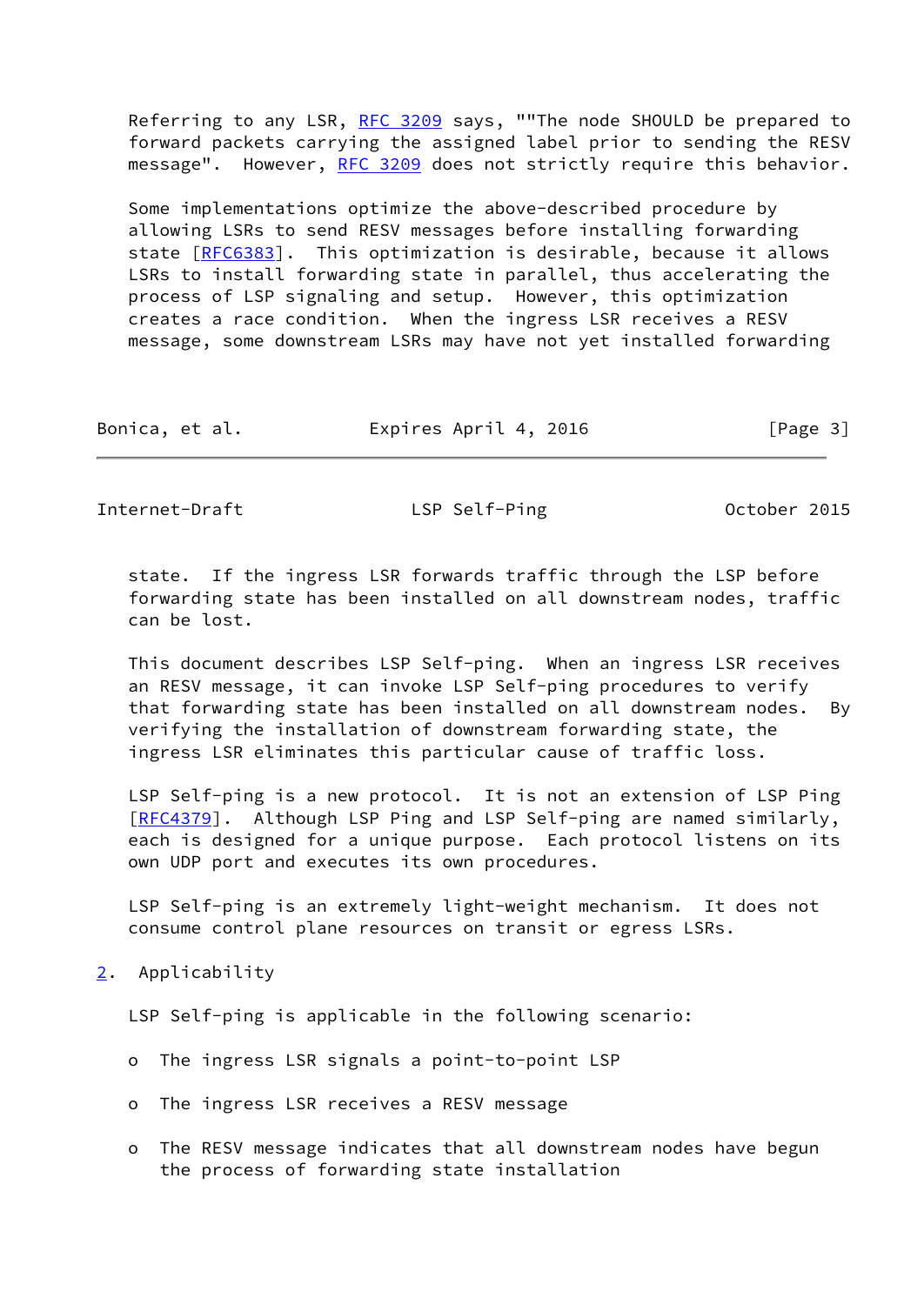Referring to any LSR, [RFC 3209](https://datatracker.ietf.org/doc/pdf/rfc3209) says, ""The node SHOULD be prepared to forward packets carrying the assigned label prior to sending the RESV message". However, [RFC 3209](https://datatracker.ietf.org/doc/pdf/rfc3209) does not strictly require this behavior.

 Some implementations optimize the above-described procedure by allowing LSRs to send RESV messages before installing forwarding state [[RFC6383](https://datatracker.ietf.org/doc/pdf/rfc6383)]. This optimization is desirable, because it allows LSRs to install forwarding state in parallel, thus accelerating the process of LSP signaling and setup. However, this optimization creates a race condition. When the ingress LSR receives a RESV message, some downstream LSRs may have not yet installed forwarding

| Bonica, et al. | Expires April 4, 2016 | [Page 3] |
|----------------|-----------------------|----------|
|----------------|-----------------------|----------|

<span id="page-3-1"></span>Internet-Draft LSP Self-Ping Cotober 2015

 state. If the ingress LSR forwards traffic through the LSP before forwarding state has been installed on all downstream nodes, traffic can be lost.

 This document describes LSP Self-ping. When an ingress LSR receives an RESV message, it can invoke LSP Self-ping procedures to verify that forwarding state has been installed on all downstream nodes. By verifying the installation of downstream forwarding state, the ingress LSR eliminates this particular cause of traffic loss.

 LSP Self-ping is a new protocol. It is not an extension of LSP Ping [\[RFC4379](https://datatracker.ietf.org/doc/pdf/rfc4379)]. Although LSP Ping and LSP Self-ping are named similarly, each is designed for a unique purpose. Each protocol listens on its own UDP port and executes its own procedures.

 LSP Self-ping is an extremely light-weight mechanism. It does not consume control plane resources on transit or egress LSRs.

<span id="page-3-0"></span>[2](#page-3-0). Applicability

LSP Self-ping is applicable in the following scenario:

- o The ingress LSR signals a point-to-point LSP
- o The ingress LSR receives a RESV message
- o The RESV message indicates that all downstream nodes have begun the process of forwarding state installation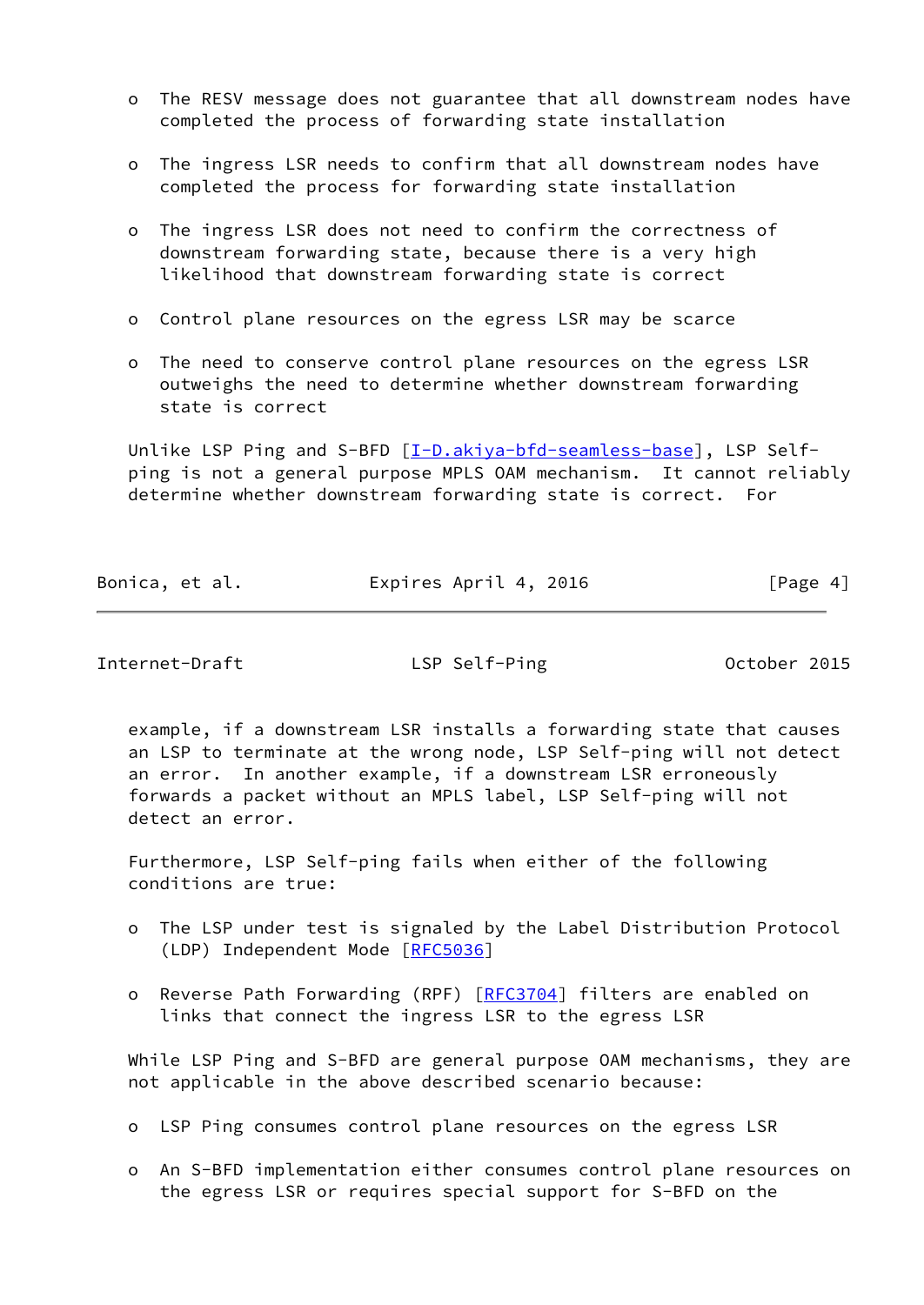- o The RESV message does not guarantee that all downstream nodes have completed the process of forwarding state installation
- o The ingress LSR needs to confirm that all downstream nodes have completed the process for forwarding state installation
- o The ingress LSR does not need to confirm the correctness of downstream forwarding state, because there is a very high likelihood that downstream forwarding state is correct
- o Control plane resources on the egress LSR may be scarce
- o The need to conserve control plane resources on the egress LSR outweighs the need to determine whether downstream forwarding state is correct

 Unlike LSP Ping and S-BFD [[I-D.akiya-bfd-seamless-base](#page-10-2)], LSP Self ping is not a general purpose MPLS OAM mechanism. It cannot reliably determine whether downstream forwarding state is correct. For

|  | Bonica, et al. | Expires April 4, 2016 | [Page 4] |
|--|----------------|-----------------------|----------|
|--|----------------|-----------------------|----------|

<span id="page-4-0"></span>Internet-Draft LSP Self-Ping October 2015

 example, if a downstream LSR installs a forwarding state that causes an LSP to terminate at the wrong node, LSP Self-ping will not detect an error. In another example, if a downstream LSR erroneously forwards a packet without an MPLS label, LSP Self-ping will not detect an error.

 Furthermore, LSP Self-ping fails when either of the following conditions are true:

- o The LSP under test is signaled by the Label Distribution Protocol (LDP) Independent Mode [[RFC5036](https://datatracker.ietf.org/doc/pdf/rfc5036)]
- o Reverse Path Forwarding (RPF) [\[RFC3704](https://datatracker.ietf.org/doc/pdf/rfc3704)] filters are enabled on links that connect the ingress LSR to the egress LSR

While LSP Ping and S-BFD are general purpose OAM mechanisms, they are not applicable in the above described scenario because:

o LSP Ping consumes control plane resources on the egress LSR

 o An S-BFD implementation either consumes control plane resources on the egress LSR or requires special support for S-BFD on the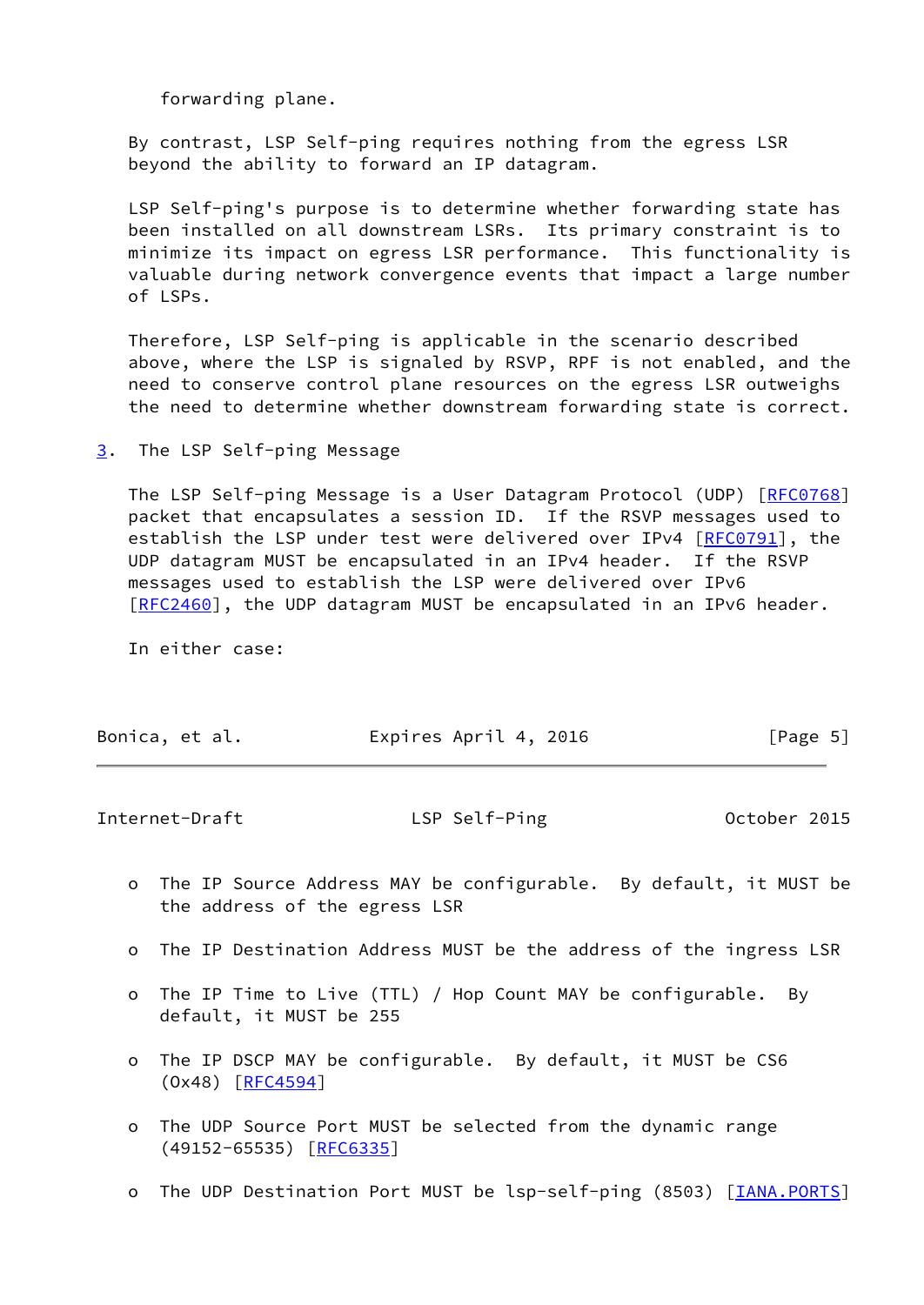forwarding plane.

 By contrast, LSP Self-ping requires nothing from the egress LSR beyond the ability to forward an IP datagram.

 LSP Self-ping's purpose is to determine whether forwarding state has been installed on all downstream LSRs. Its primary constraint is to minimize its impact on egress LSR performance. This functionality is valuable during network convergence events that impact a large number of LSPs.

 Therefore, LSP Self-ping is applicable in the scenario described above, where the LSP is signaled by RSVP, RPF is not enabled, and the need to conserve control plane resources on the egress LSR outweighs the need to determine whether downstream forwarding state is correct.

<span id="page-5-0"></span>[3](#page-5-0). The LSP Self-ping Message

 The LSP Self-ping Message is a User Datagram Protocol (UDP) [\[RFC0768](https://datatracker.ietf.org/doc/pdf/rfc0768)] packet that encapsulates a session ID. If the RSVP messages used to establish the LSP under test were delivered over IPv4 [[RFC0791](https://datatracker.ietf.org/doc/pdf/rfc0791)], the UDP datagram MUST be encapsulated in an IPv4 header. If the RSVP messages used to establish the LSP were delivered over IPv6 [\[RFC2460](https://datatracker.ietf.org/doc/pdf/rfc2460)], the UDP datagram MUST be encapsulated in an IPv6 header.

In either case:

| Expires April 4, 2016<br>Bonica, et al. | [Page 5] |
|-----------------------------------------|----------|
|-----------------------------------------|----------|

<span id="page-5-1"></span>

| LSP Self-Ping<br>Internet-Draft | October 2015 |  |
|---------------------------------|--------------|--|
|---------------------------------|--------------|--|

- o The IP Source Address MAY be configurable. By default, it MUST be the address of the egress LSR
- o The IP Destination Address MUST be the address of the ingress LSR
- o The IP Time to Live (TTL) / Hop Count MAY be configurable. By default, it MUST be 255
- o The IP DSCP MAY be configurable. By default, it MUST be CS6 (Ox48) [[RFC4594](https://datatracker.ietf.org/doc/pdf/rfc4594)]
- o The UDP Source Port MUST be selected from the dynamic range (49152-65535) [\[RFC6335](https://datatracker.ietf.org/doc/pdf/rfc6335)]
- o The UDP Destination Port MUST be lsp-self-ping (8503) [\[IANA.PORTS\]](#page-10-3)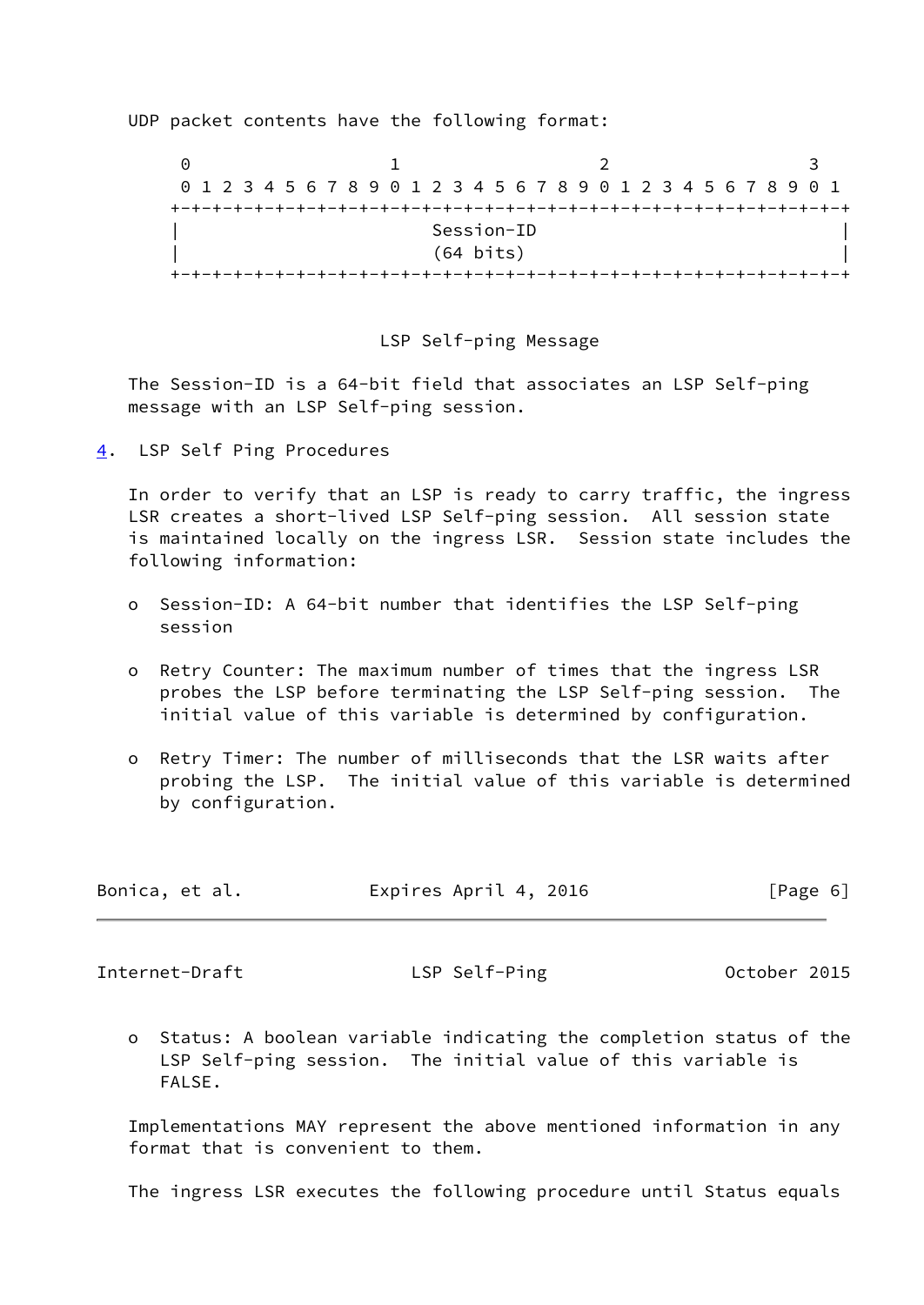UDP packet contents have the following format:

 $0$  1 2 3 0 1 2 3 4 5 6 7 8 9 0 1 2 3 4 5 6 7 8 9 0 1 2 3 4 5 6 7 8 9 0 1 +-+-+-+-+-+-+-+-+-+-+-+-+-+-+-+-+-+-+-+-+-+-+-+-+-+-+-+-+-+-+-+-+ | Session-ID | | (64 bits) | +-+-+-+-+-+-+-+-+-+-+-+-+-+-+-+-+-+-+-+-+-+-+-+-+-+-+-+-+-+-+-+-+

#### LSP Self-ping Message

 The Session-ID is a 64-bit field that associates an LSP Self-ping message with an LSP Self-ping session.

<span id="page-6-0"></span>[4](#page-6-0). LSP Self Ping Procedures

 In order to verify that an LSP is ready to carry traffic, the ingress LSR creates a short-lived LSP Self-ping session. All session state is maintained locally on the ingress LSR. Session state includes the following information:

- o Session-ID: A 64-bit number that identifies the LSP Self-ping session
- o Retry Counter: The maximum number of times that the ingress LSR probes the LSP before terminating the LSP Self-ping session. The initial value of this variable is determined by configuration.
- o Retry Timer: The number of milliseconds that the LSR waits after probing the LSP. The initial value of this variable is determined by configuration.

| Bonica, et al. | Expires April 4, 2016 | [Page 6] |
|----------------|-----------------------|----------|
|----------------|-----------------------|----------|

Internet-Draft LSP Self-Ping Cotober 2015

 o Status: A boolean variable indicating the completion status of the LSP Self-ping session. The initial value of this variable is FALSE.

 Implementations MAY represent the above mentioned information in any format that is convenient to them.

The ingress LSR executes the following procedure until Status equals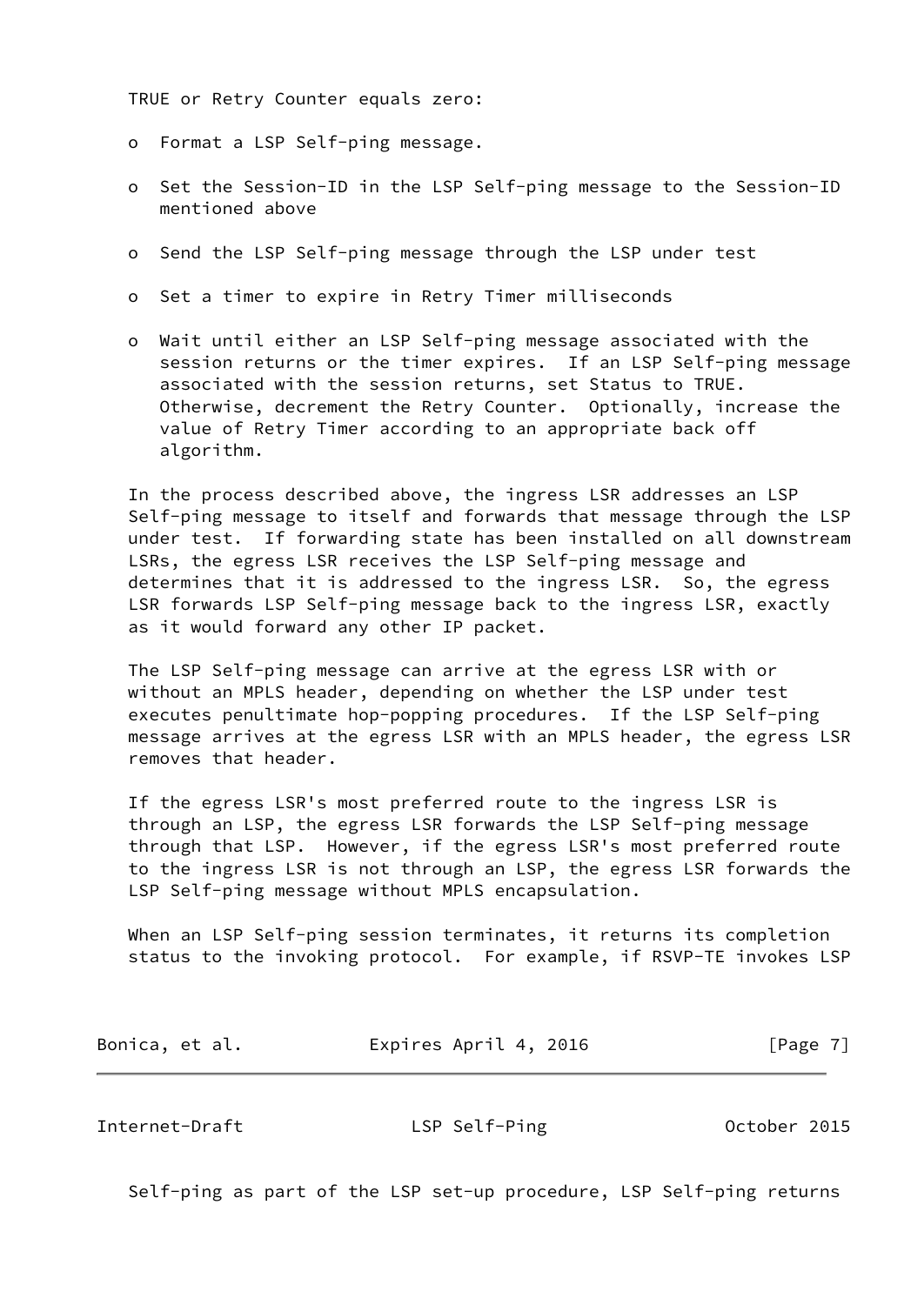TRUE or Retry Counter equals zero:

- o Format a LSP Self-ping message.
- o Set the Session-ID in the LSP Self-ping message to the Session-ID mentioned above
- o Send the LSP Self-ping message through the LSP under test
- o Set a timer to expire in Retry Timer milliseconds
- o Wait until either an LSP Self-ping message associated with the session returns or the timer expires. If an LSP Self-ping message associated with the session returns, set Status to TRUE. Otherwise, decrement the Retry Counter. Optionally, increase the value of Retry Timer according to an appropriate back off algorithm.

 In the process described above, the ingress LSR addresses an LSP Self-ping message to itself and forwards that message through the LSP under test. If forwarding state has been installed on all downstream LSRs, the egress LSR receives the LSP Self-ping message and determines that it is addressed to the ingress LSR. So, the egress LSR forwards LSP Self-ping message back to the ingress LSR, exactly as it would forward any other IP packet.

 The LSP Self-ping message can arrive at the egress LSR with or without an MPLS header, depending on whether the LSP under test executes penultimate hop-popping procedures. If the LSP Self-ping message arrives at the egress LSR with an MPLS header, the egress LSR removes that header.

 If the egress LSR's most preferred route to the ingress LSR is through an LSP, the egress LSR forwards the LSP Self-ping message through that LSP. However, if the egress LSR's most preferred route to the ingress LSR is not through an LSP, the egress LSR forwards the LSP Self-ping message without MPLS encapsulation.

 When an LSP Self-ping session terminates, it returns its completion status to the invoking protocol. For example, if RSVP-TE invokes LSP

| Bonica, et al. | Expires April 4, 2016 | [Page 7] |
|----------------|-----------------------|----------|
|----------------|-----------------------|----------|

<span id="page-7-0"></span>Internet-Draft LSP Self-Ping October 2015

Self-ping as part of the LSP set-up procedure, LSP Self-ping returns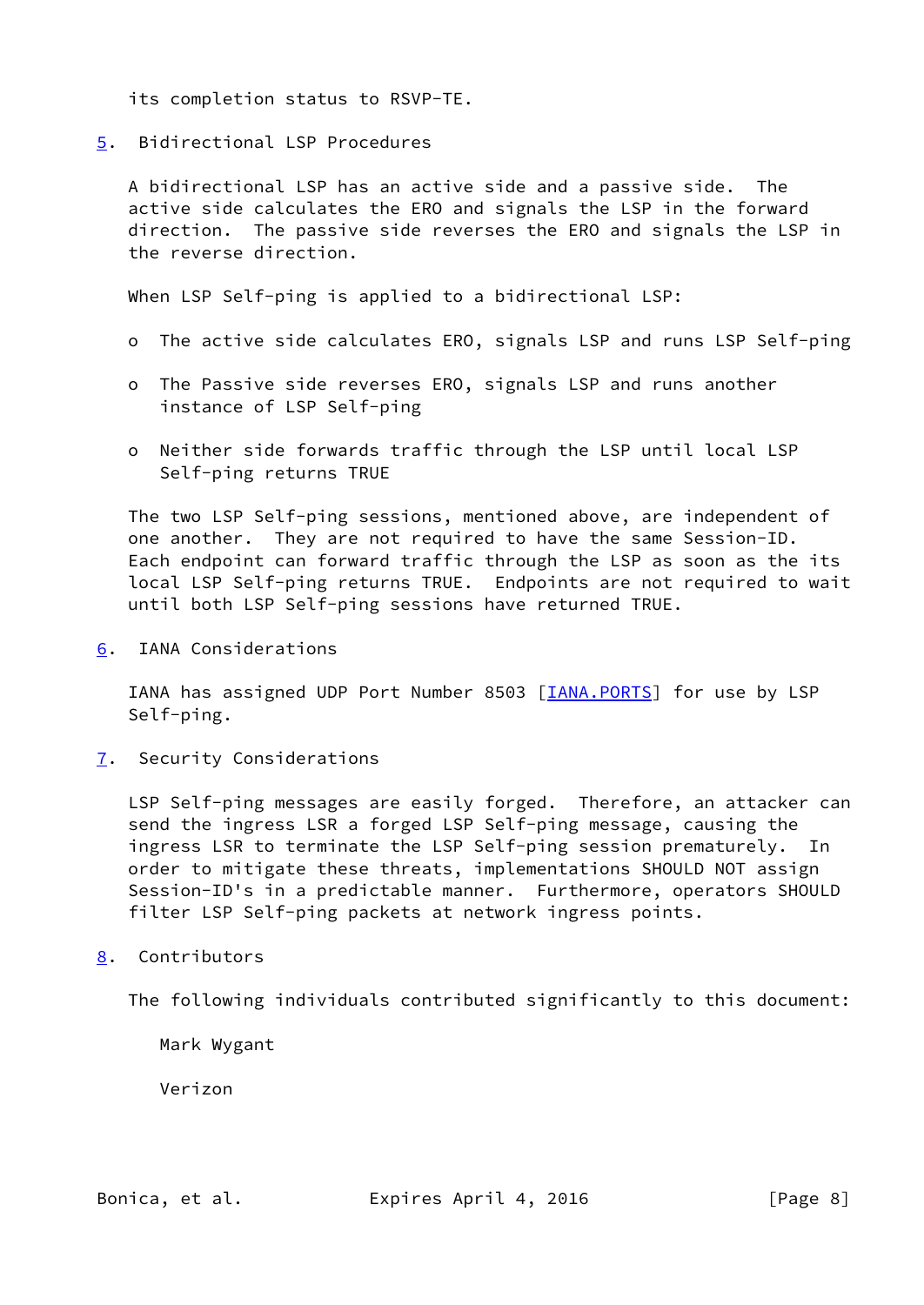its completion status to RSVP-TE.

<span id="page-8-0"></span>[5](#page-8-0). Bidirectional LSP Procedures

 A bidirectional LSP has an active side and a passive side. The active side calculates the ERO and signals the LSP in the forward direction. The passive side reverses the ERO and signals the LSP in the reverse direction.

When LSP Self-ping is applied to a bidirectional LSP:

- o The active side calculates ERO, signals LSP and runs LSP Self-ping
- o The Passive side reverses ERO, signals LSP and runs another instance of LSP Self-ping
- o Neither side forwards traffic through the LSP until local LSP Self-ping returns TRUE

 The two LSP Self-ping sessions, mentioned above, are independent of one another. They are not required to have the same Session-ID. Each endpoint can forward traffic through the LSP as soon as the its local LSP Self-ping returns TRUE. Endpoints are not required to wait until both LSP Self-ping sessions have returned TRUE.

<span id="page-8-1"></span>[6](#page-8-1). IANA Considerations

IANA has assigned UDP Port Number 8503 [\[IANA.PORTS](#page-10-3)] for use by LSP Self-ping.

<span id="page-8-2"></span>[7](#page-8-2). Security Considerations

 LSP Self-ping messages are easily forged. Therefore, an attacker can send the ingress LSR a forged LSP Self-ping message, causing the ingress LSR to terminate the LSP Self-ping session prematurely. In order to mitigate these threats, implementations SHOULD NOT assign Session-ID's in a predictable manner. Furthermore, operators SHOULD filter LSP Self-ping packets at network ingress points.

### <span id="page-8-3"></span>[8](#page-8-3). Contributors

The following individuals contributed significantly to this document:

Mark Wygant

Verizon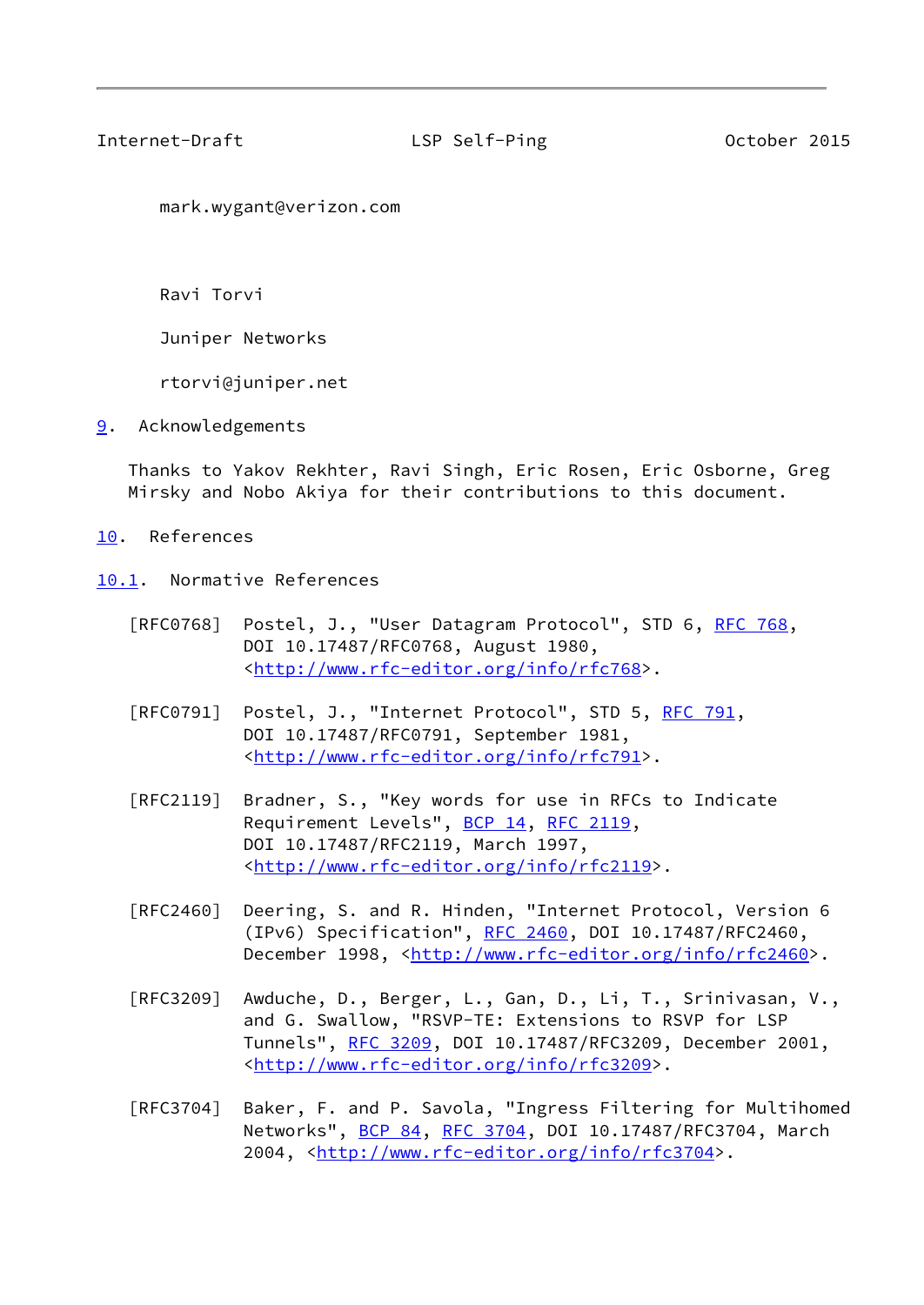<span id="page-9-1"></span>Internet-Draft LSP Self-Ping October 2015

mark.wygant@verizon.com

Ravi Torvi

Juniper Networks

rtorvi@juniper.net

<span id="page-9-0"></span>[9](#page-9-0). Acknowledgements

 Thanks to Yakov Rekhter, Ravi Singh, Eric Rosen, Eric Osborne, Greg Mirsky and Nobo Akiya for their contributions to this document.

- <span id="page-9-2"></span>[10.](#page-9-2) References
- <span id="page-9-3"></span>[10.1](#page-9-3). Normative References
	- [RFC0768] Postel, J., "User Datagram Protocol", STD 6, [RFC 768](https://datatracker.ietf.org/doc/pdf/rfc768), DOI 10.17487/RFC0768, August 1980, <[http://www.rfc-editor.org/info/rfc768>](http://www.rfc-editor.org/info/rfc768).
	- [RFC0791] Postel, J., "Internet Protocol", STD 5, [RFC 791](https://datatracker.ietf.org/doc/pdf/rfc791), DOI 10.17487/RFC0791, September 1981, <[http://www.rfc-editor.org/info/rfc791>](http://www.rfc-editor.org/info/rfc791).
	- [RFC2119] Bradner, S., "Key words for use in RFCs to Indicate Requirement Levels", [BCP 14](https://datatracker.ietf.org/doc/pdf/bcp14), [RFC 2119](https://datatracker.ietf.org/doc/pdf/rfc2119), DOI 10.17487/RFC2119, March 1997, <<http://www.rfc-editor.org/info/rfc2119>>.
	- [RFC2460] Deering, S. and R. Hinden, "Internet Protocol, Version 6 (IPv6) Specification", [RFC 2460](https://datatracker.ietf.org/doc/pdf/rfc2460), DOI 10.17487/RFC2460, December 1998, <<http://www.rfc-editor.org/info/rfc2460>>.
	- [RFC3209] Awduche, D., Berger, L., Gan, D., Li, T., Srinivasan, V., and G. Swallow, "RSVP-TE: Extensions to RSVP for LSP Tunnels", [RFC 3209](https://datatracker.ietf.org/doc/pdf/rfc3209), DOI 10.17487/RFC3209, December 2001, <<http://www.rfc-editor.org/info/rfc3209>>.
	- [RFC3704] Baker, F. and P. Savola, "Ingress Filtering for Multihomed Networks", [BCP 84](https://datatracker.ietf.org/doc/pdf/bcp84), [RFC 3704](https://datatracker.ietf.org/doc/pdf/rfc3704), DOI 10.17487/RFC3704, March 2004, [<http://www.rfc-editor.org/info/rfc3704](http://www.rfc-editor.org/info/rfc3704)>.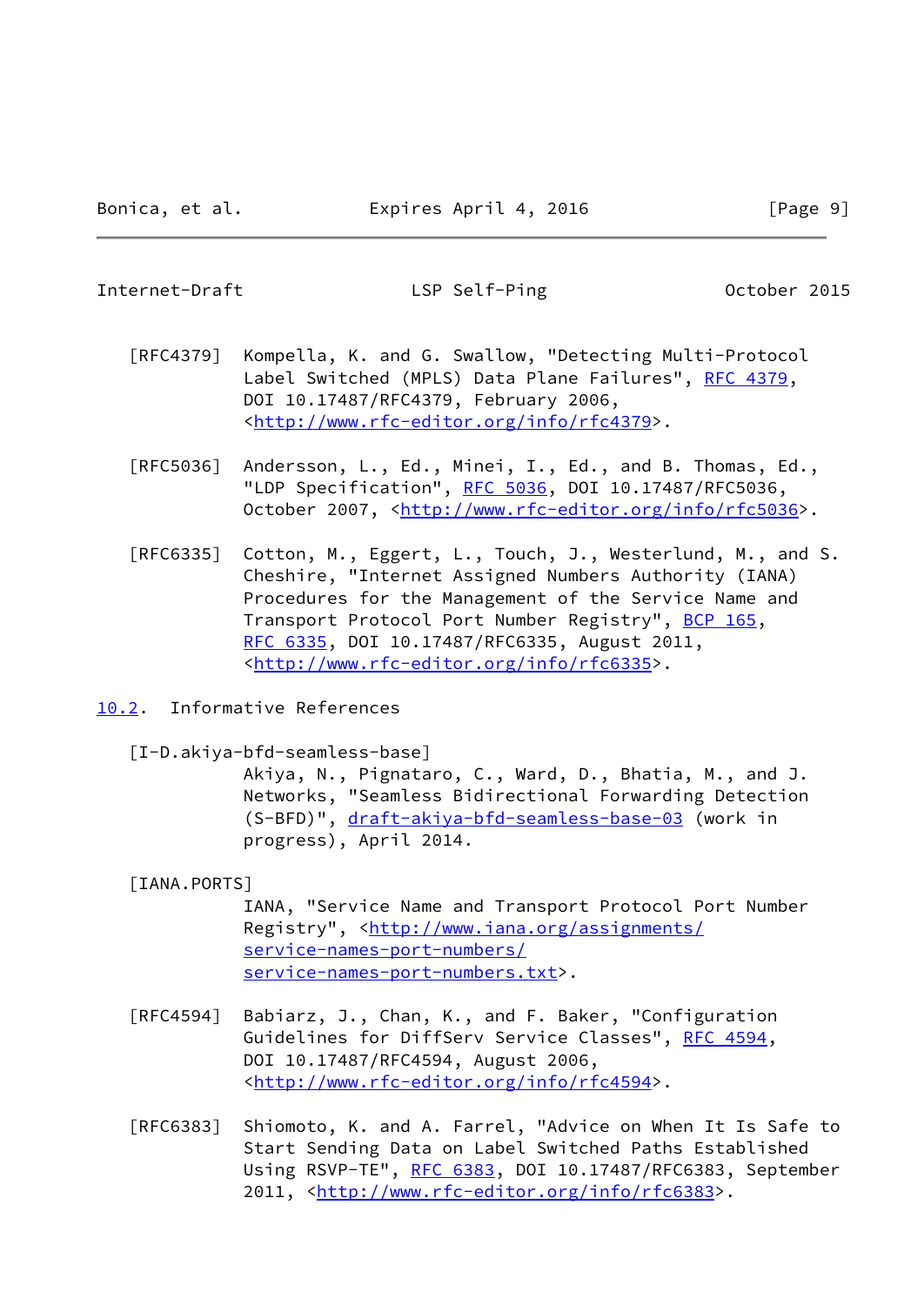<span id="page-10-1"></span>Internet-Draft LSP Self-Ping October 2015

- [RFC4379] Kompella, K. and G. Swallow, "Detecting Multi-Protocol Label Switched (MPLS) Data Plane Failures", [RFC 4379,](https://datatracker.ietf.org/doc/pdf/rfc4379) DOI 10.17487/RFC4379, February 2006, <<http://www.rfc-editor.org/info/rfc4379>>.
- [RFC5036] Andersson, L., Ed., Minei, I., Ed., and B. Thomas, Ed., "LDP Specification", [RFC 5036](https://datatracker.ietf.org/doc/pdf/rfc5036), DOI 10.17487/RFC5036, October 2007, [<http://www.rfc-editor.org/info/rfc5036](http://www.rfc-editor.org/info/rfc5036)>.
- [RFC6335] Cotton, M., Eggert, L., Touch, J., Westerlund, M., and S. Cheshire, "Internet Assigned Numbers Authority (IANA) Procedures for the Management of the Service Name and Transport Protocol Port Number Registry", [BCP 165](https://datatracker.ietf.org/doc/pdf/bcp165), [RFC 6335,](https://datatracker.ietf.org/doc/pdf/rfc6335) DOI 10.17487/RFC6335, August 2011, <<http://www.rfc-editor.org/info/rfc6335>>.
- <span id="page-10-0"></span>[10.2](#page-10-0). Informative References

<span id="page-10-2"></span>[I-D.akiya-bfd-seamless-base]

 Akiya, N., Pignataro, C., Ward, D., Bhatia, M., and J. Networks, "Seamless Bidirectional Forwarding Detection (S-BFD)", [draft-akiya-bfd-seamless-base-03](https://datatracker.ietf.org/doc/pdf/draft-akiya-bfd-seamless-base-03) (work in progress), April 2014.

### <span id="page-10-3"></span>[IANA.PORTS]

 IANA, "Service Name and Transport Protocol Port Number Registry", <[http://www.iana.org/assignments/](http://www.iana.org/assignments/service-names-port-numbers/service-names-port-numbers.txt) [service-names-port-numbers/](http://www.iana.org/assignments/service-names-port-numbers/service-names-port-numbers.txt) [service-names-port-numbers.txt](http://www.iana.org/assignments/service-names-port-numbers/service-names-port-numbers.txt)>.

- [RFC4594] Babiarz, J., Chan, K., and F. Baker, "Configuration Guidelines for DiffServ Service Classes", [RFC 4594](https://datatracker.ietf.org/doc/pdf/rfc4594), DOI 10.17487/RFC4594, August 2006, <<http://www.rfc-editor.org/info/rfc4594>>.
- [RFC6383] Shiomoto, K. and A. Farrel, "Advice on When It Is Safe to Start Sending Data on Label Switched Paths Established Using RSVP-TE", [RFC 6383,](https://datatracker.ietf.org/doc/pdf/rfc6383) DOI 10.17487/RFC6383, September 2011, [<http://www.rfc-editor.org/info/rfc6383](http://www.rfc-editor.org/info/rfc6383)>.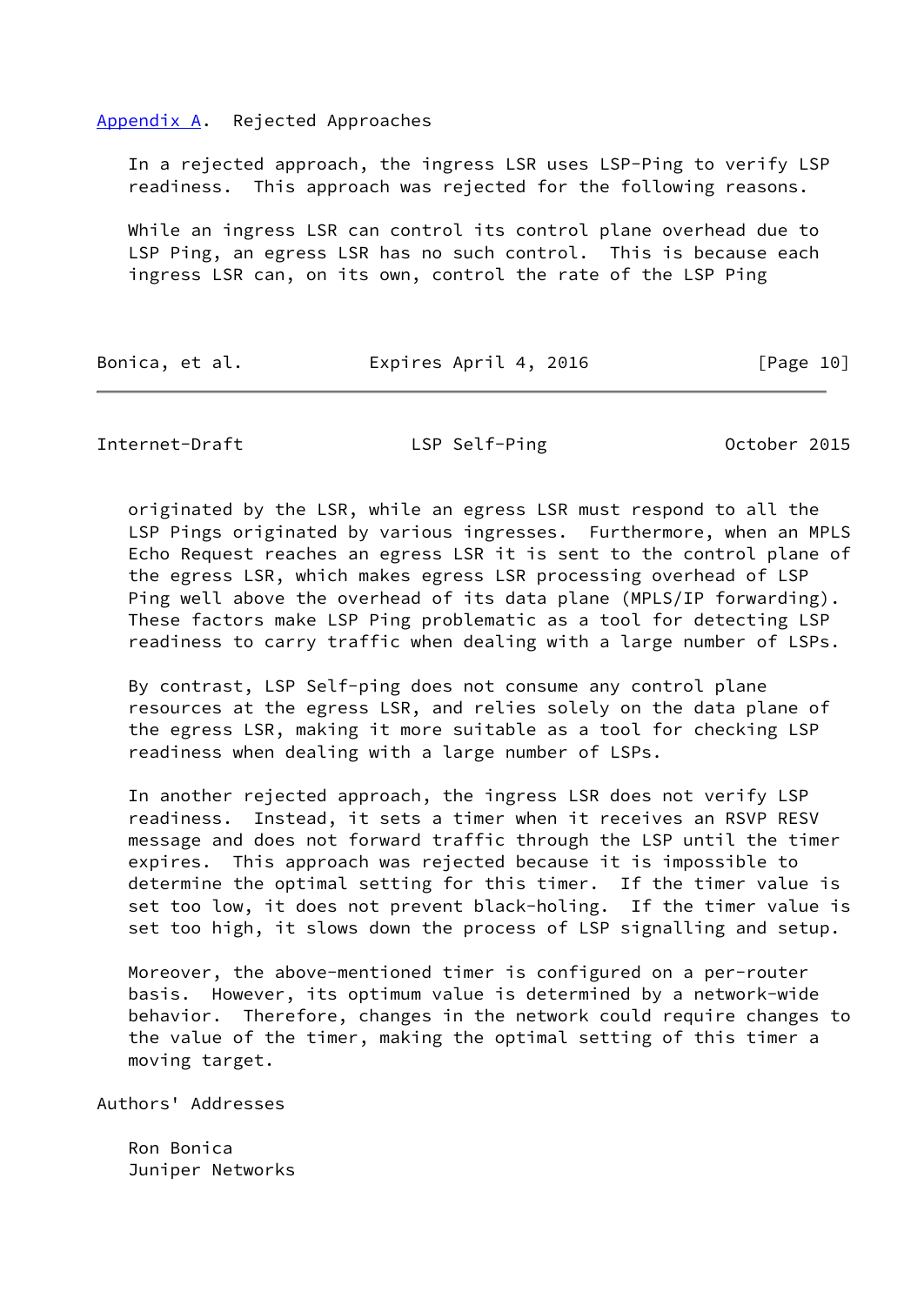#### <span id="page-11-0"></span>[Appendix A.](#page-11-0) Rejected Approaches

 In a rejected approach, the ingress LSR uses LSP-Ping to verify LSP readiness. This approach was rejected for the following reasons.

 While an ingress LSR can control its control plane overhead due to LSP Ping, an egress LSR has no such control. This is because each ingress LSR can, on its own, control the rate of the LSP Ping

| Bonica, et al. | Expires April 4, 2016 | [Page 10] |
|----------------|-----------------------|-----------|
|                |                       |           |

<span id="page-11-1"></span>Internet-Draft LSP Self-Ping October 2015

 originated by the LSR, while an egress LSR must respond to all the LSP Pings originated by various ingresses. Furthermore, when an MPLS Echo Request reaches an egress LSR it is sent to the control plane of the egress LSR, which makes egress LSR processing overhead of LSP Ping well above the overhead of its data plane (MPLS/IP forwarding). These factors make LSP Ping problematic as a tool for detecting LSP readiness to carry traffic when dealing with a large number of LSPs.

 By contrast, LSP Self-ping does not consume any control plane resources at the egress LSR, and relies solely on the data plane of the egress LSR, making it more suitable as a tool for checking LSP readiness when dealing with a large number of LSPs.

 In another rejected approach, the ingress LSR does not verify LSP readiness. Instead, it sets a timer when it receives an RSVP RESV message and does not forward traffic through the LSP until the timer expires. This approach was rejected because it is impossible to determine the optimal setting for this timer. If the timer value is set too low, it does not prevent black-holing. If the timer value is set too high, it slows down the process of LSP signalling and setup.

 Moreover, the above-mentioned timer is configured on a per-router basis. However, its optimum value is determined by a network-wide behavior. Therefore, changes in the network could require changes to the value of the timer, making the optimal setting of this timer a moving target.

Authors' Addresses

 Ron Bonica Juniper Networks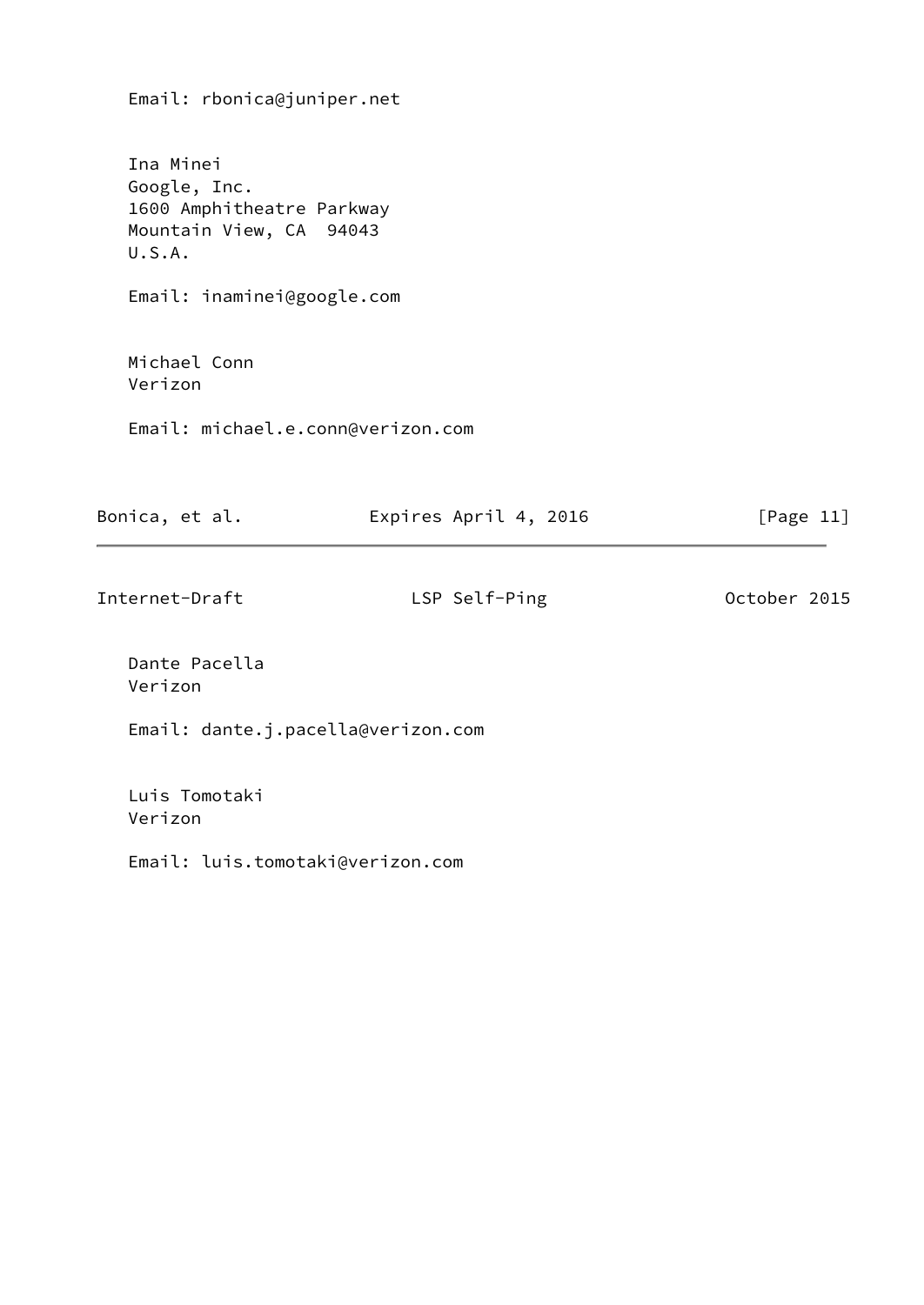Email: rbonica@juniper.net

 Ina Minei Google, Inc. 1600 Amphitheatre Parkway Mountain View, CA 94043 U.S.A.

Email: inaminei@google.com

 Michael Conn Verizon

Email: michael.e.conn@verizon.com

| Bonica, et al. | Expires April 4, 2016 | [Page 11]    |
|----------------|-----------------------|--------------|
| Internet-Draft | LSP Self-Ping         | October 2015 |

 Dante Pacella Verizon

Email: dante.j.pacella@verizon.com

 Luis Tomotaki Verizon

Email: luis.tomotaki@verizon.com